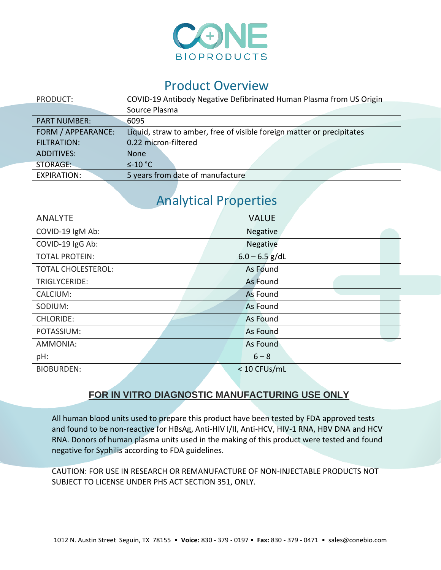

## Product Overview

| PRODUCT:            | COVID-19 Antibody Negative Defibrinated Human Plasma from US Origin    |
|---------------------|------------------------------------------------------------------------|
|                     | Source Plasma                                                          |
| <b>PART NUMBER:</b> | 6095                                                                   |
| FORM / APPEARANCE:  | Liquid, straw to amber, free of visible foreign matter or precipitates |
| <b>FILTRATION:</b>  | 0.22 micron-filtered                                                   |
| <b>ADDITIVES:</b>   | <b>None</b>                                                            |
| STORAGE:            | $\leq$ -10 °C                                                          |
| <b>EXPIRATION:</b>  | 5 years from date of manufacture                                       |

## Analytical Properties

| <b>ANALYTE</b>            | <b>VALUE</b>     |
|---------------------------|------------------|
| COVID-19 IgM Ab:          | Negative         |
| COVID-19 IgG Ab:          | Negative         |
| <b>TOTAL PROTEIN:</b>     | $6.0 - 6.5$ g/dL |
| <b>TOTAL CHOLESTEROL:</b> | As Found         |
| TRIGLYCERIDE:             | As Found         |
| CALCIUM:                  | As Found         |
| SODIUM:                   | <b>As Found</b>  |
| <b>CHLORIDE:</b>          | As Found         |
| POTASSIUM:                | <b>As Found</b>  |
| AMMONIA:                  | As Found         |
| pH:                       | $6 - 8$          |
| <b>BIOBURDEN:</b>         | < 10 CFUs/mL     |

## **FOR IN VITRO DIAGNOSTIC MANUFACTURING USE ONLY**

All human blood units used to prepare this product have been tested by FDA approved tests and found to be non-reactive for HBsAg, Anti-HIV I/II, Anti-HCV, HIV-1 RNA, HBV DNA and HCV RNA. Donors of human plasma units used in the making of this product were tested and found negative for Syphilis according to FDA guidelines.

CAUTION: FOR USE IN RESEARCH OR REMANUFACTURE OF NON-INJECTABLE PRODUCTS NOT SUBJECT TO LICENSE UNDER PHS ACT SECTION 351, ONLY.